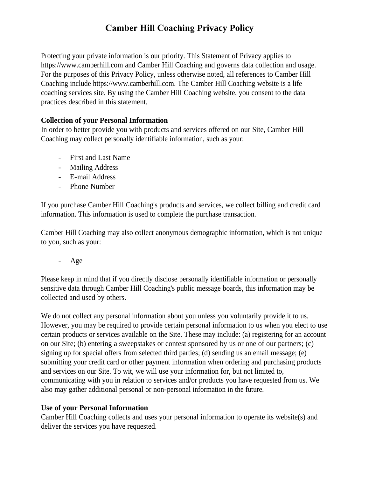# **Camber Hill Coaching Privacy Policy**

Protecting your private information is our priority. This Statement of Privacy applies to https://www.camberhill.com and Camber Hill Coaching and governs data collection and usage. For the purposes of this Privacy Policy, unless otherwise noted, all references to Camber Hill Coaching include https://www.camberhill.com. The Camber Hill Coaching website is a life coaching services site. By using the Camber Hill Coaching website, you consent to the data practices described in this statement.

## **Collection of your Personal Information**

In order to better provide you with products and services offered on our Site, Camber Hill Coaching may collect personally identifiable information, such as your:

- First and Last Name
- Mailing Address
- E-mail Address
- Phone Number

If you purchase Camber Hill Coaching's products and services, we collect billing and credit card information. This information is used to complete the purchase transaction.

Camber Hill Coaching may also collect anonymous demographic information, which is not unique to you, such as your:

Age

Please keep in mind that if you directly disclose personally identifiable information or personally sensitive data through Camber Hill Coaching's public message boards, this information may be collected and used by others.

We do not collect any personal information about you unless you voluntarily provide it to us. However, you may be required to provide certain personal information to us when you elect to use certain products or services available on the Site. These may include: (a) registering for an account on our Site; (b) entering a sweepstakes or contest sponsored by us or one of our partners; (c) signing up for special offers from selected third parties; (d) sending us an email message; (e) submitting your credit card or other payment information when ordering and purchasing products and services on our Site. To wit, we will use your information for, but not limited to, communicating with you in relation to services and/or products you have requested from us. We also may gather additional personal or non-personal information in the future.

# **Use of your Personal Information**

Camber Hill Coaching collects and uses your personal information to operate its website(s) and deliver the services you have requested.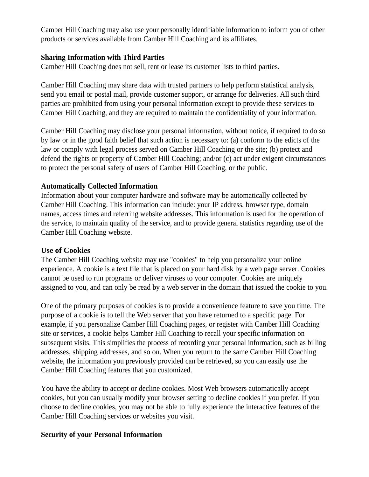Camber Hill Coaching may also use your personally identifiable information to inform you of other products or services available from Camber Hill Coaching and its affiliates.

#### **Sharing Information with Third Parties**

Camber Hill Coaching does not sell, rent or lease its customer lists to third parties.

Camber Hill Coaching may share data with trusted partners to help perform statistical analysis, send you email or postal mail, provide customer support, or arrange for deliveries. All such third parties are prohibited from using your personal information except to provide these services to Camber Hill Coaching, and they are required to maintain the confidentiality of your information.

Camber Hill Coaching may disclose your personal information, without notice, if required to do so by law or in the good faith belief that such action is necessary to: (a) conform to the edicts of the law or comply with legal process served on Camber Hill Coaching or the site; (b) protect and defend the rights or property of Camber Hill Coaching; and/or (c) act under exigent circumstances to protect the personal safety of users of Camber Hill Coaching, or the public.

## **Automatically Collected Information**

Information about your computer hardware and software may be automatically collected by Camber Hill Coaching. This information can include: your IP address, browser type, domain names, access times and referring website addresses. This information is used for the operation of the service, to maintain quality of the service, and to provide general statistics regarding use of the Camber Hill Coaching website.

#### **Use of Cookies**

The Camber Hill Coaching website may use "cookies" to help you personalize your online experience. A cookie is a text file that is placed on your hard disk by a web page server. Cookies cannot be used to run programs or deliver viruses to your computer. Cookies are uniquely assigned to you, and can only be read by a web server in the domain that issued the cookie to you.

One of the primary purposes of cookies is to provide a convenience feature to save you time. The purpose of a cookie is to tell the Web server that you have returned to a specific page. For example, if you personalize Camber Hill Coaching pages, or register with Camber Hill Coaching site or services, a cookie helps Camber Hill Coaching to recall your specific information on subsequent visits. This simplifies the process of recording your personal information, such as billing addresses, shipping addresses, and so on. When you return to the same Camber Hill Coaching website, the information you previously provided can be retrieved, so you can easily use the Camber Hill Coaching features that you customized.

You have the ability to accept or decline cookies. Most Web browsers automatically accept cookies, but you can usually modify your browser setting to decline cookies if you prefer. If you choose to decline cookies, you may not be able to fully experience the interactive features of the Camber Hill Coaching services or websites you visit.

## **Security of your Personal Information**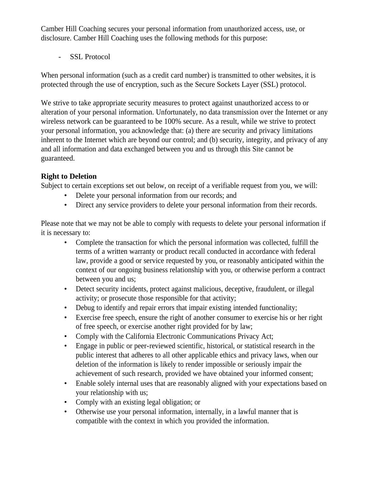Camber Hill Coaching secures your personal information from unauthorized access, use, or disclosure. Camber Hill Coaching uses the following methods for this purpose:

- SSL Protocol

When personal information (such as a credit card number) is transmitted to other websites, it is protected through the use of encryption, such as the Secure Sockets Layer (SSL) protocol.

We strive to take appropriate security measures to protect against unauthorized access to or alteration of your personal information. Unfortunately, no data transmission over the Internet or any wireless network can be guaranteed to be 100% secure. As a result, while we strive to protect your personal information, you acknowledge that: (a) there are security and privacy limitations inherent to the Internet which are beyond our control; and (b) security, integrity, and privacy of any and all information and data exchanged between you and us through this Site cannot be guaranteed.

# **Right to Deletion**

Subject to certain exceptions set out below, on receipt of a verifiable request from you, we will:

- Delete your personal information from our records; and
- Direct any service providers to delete your personal information from their records.

Please note that we may not be able to comply with requests to delete your personal information if it is necessary to:

- Complete the transaction for which the personal information was collected, fulfill the terms of a written warranty or product recall conducted in accordance with federal law, provide a good or service requested by you, or reasonably anticipated within the context of our ongoing business relationship with you, or otherwise perform a contract between you and us;
- Detect security incidents, protect against malicious, deceptive, fraudulent, or illegal activity; or prosecute those responsible for that activity;
- Debug to identify and repair errors that impair existing intended functionality;
- Exercise free speech, ensure the right of another consumer to exercise his or her right of free speech, or exercise another right provided for by law;
- Comply with the California Electronic Communications Privacy Act;
- Engage in public or peer-reviewed scientific, historical, or statistical research in the public interest that adheres to all other applicable ethics and privacy laws, when our deletion of the information is likely to render impossible or seriously impair the achievement of such research, provided we have obtained your informed consent;
- Enable solely internal uses that are reasonably aligned with your expectations based on your relationship with us;
- Comply with an existing legal obligation; or
- Otherwise use your personal information, internally, in a lawful manner that is compatible with the context in which you provided the information.